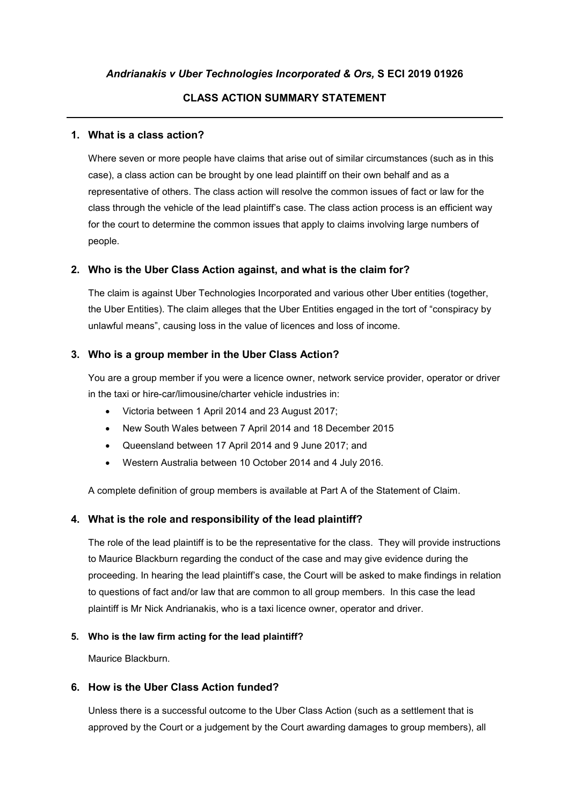## **CLASS ACTION SUMMARY STATEMENT**

## **1. What is a class action?**

Where seven or more people have claims that arise out of similar circumstances (such as in this case), a class action can be brought by one lead plaintiff on their own behalf and as a representative of others. The class action will resolve the common issues of fact or law for the class through the vehicle of the lead plaintiff's case. The class action process is an efficient way for the court to determine the common issues that apply to claims involving large numbers of people.

## **2. Who is the Uber Class Action against, and what is the claim for?**

The claim is against Uber Technologies Incorporated and various other Uber entities (together, the Uber Entities). The claim alleges that the Uber Entities engaged in the tort of "conspiracy by unlawful means", causing loss in the value of licences and loss of income.

## **3. Who is a group member in the Uber Class Action?**

You are a group member if you were a licence owner, network service provider, operator or driver in the taxi or hire-car/limousine/charter vehicle industries in:

- Victoria between 1 April 2014 and 23 August 2017;
- New South Wales between 7 April 2014 and 18 December 2015
- Queensland between 17 April 2014 and 9 June 2017; and
- Western Australia between 10 October 2014 and 4 July 2016.

A complete definition of group members is available at Part A of the Statement of Claim.

## **4. What is the role and responsibility of the lead plaintiff?**

The role of the lead plaintiff is to be the representative for the class. They will provide instructions to Maurice Blackburn regarding the conduct of the case and may give evidence during the proceeding. In hearing the lead plaintiff's case, the Court will be asked to make findings in relation to questions of fact and/or law that are common to all group members. In this case the lead plaintiff is Mr Nick Andrianakis, who is a taxi licence owner, operator and driver.

#### **5. Who is the law firm acting for the lead plaintiff?**

Maurice Blackburn.

#### **6. How is the Uber Class Action funded?**

Unless there is a successful outcome to the Uber Class Action (such as a settlement that is approved by the Court or a judgement by the Court awarding damages to group members), all